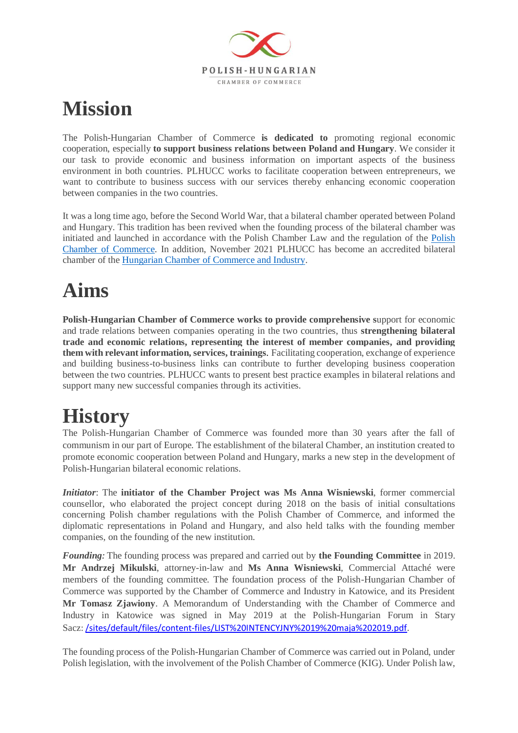

## **Mission**

The Polish-Hungarian Chamber of Commerce **is dedicated to** promoting regional economic cooperation, especially **to support business relations between Poland and Hungary**. We consider it our task to provide economic and business information on important aspects of the business environment in both countries. PLHUCC works to facilitate cooperation between entrepreneurs, we want to contribute to business success with our services thereby enhancing economic cooperation between companies in the two countries.

It was a long time ago, before the Second World War, that a bilateral chamber operated between Poland and Hungary. This tradition has been revived when the founding process of the bilateral chamber was initiated and launched in accordance with the Polish Chamber Law and the regulation of the [Polish](https://kig.pl/)  [Chamber of Commerce.](https://kig.pl/) In addition, November 2021 PLHUCC has become an accredited bilateral chamber of the [Hungarian Chamber of Commerce and Industry.](https://mkik.hu/)

## **Aims**

**Polish-Hungarian Chamber of Commerce works to provide comprehensive s**upport for economic and trade relations between companies operating in the two countries, thus **strengthening bilateral trade and economic relations, representing the interest of member companies, and providing them with relevant information, services, trainings**. Facilitating cooperation, exchange of experience and building business-to-business links can contribute to further developing business cooperation between the two countries. PLHUCC wants to present best practice examples in bilateral relations and support many new successful companies through its activities.

## **History**

The Polish-Hungarian Chamber of Commerce was founded more than 30 years after the fall of communism in our part of Europe. The establishment of the bilateral Chamber, an institution created to promote economic cooperation between Poland and Hungary, marks a new step in the development of Polish-Hungarian bilateral economic relations.

*Initiator*: The **initiator of the Chamber Project was Ms Anna Wisniewski**, former commercial counsellor, who elaborated the project concept during 2018 on the basis of initial consultations concerning Polish chamber regulations with the Polish Chamber of Commerce, and informed the diplomatic representations in Poland and Hungary, and also held talks with the founding member companies, on the founding of the new institution.

*Founding:* The founding process was prepared and carried out by **the Founding Committee** in 2019. **Mr Andrzej Mikulski**, attorney-in-law and **Ms Anna Wisniewski**, Commercial Attaché were members of the founding committee. The foundation process of the Polish-Hungarian Chamber of Commerce was supported by the Chamber of Commerce and Industry in Katowice, and its President **Mr Tomasz Zjawiony**. A Memorandum of Understanding with the Chamber of Commerce and Industry in Katowice was signed in May 2019 at the Polish-Hungarian Forum in Stary Sacz: [/sites/default/files/content-files/LIST%20INTENCYJNY%2019%20maja%202019.pdf.](https://d.docs.live.net/sites/default/files/content-files/LIST%20INTENCYJNY%2019%20maja%202019.pdf)

The founding process of the Polish-Hungarian Chamber of Commerce was carried out in Poland, under Polish legislation, with the involvement of the Polish Chamber of Commerce (KIG). Under Polish law,